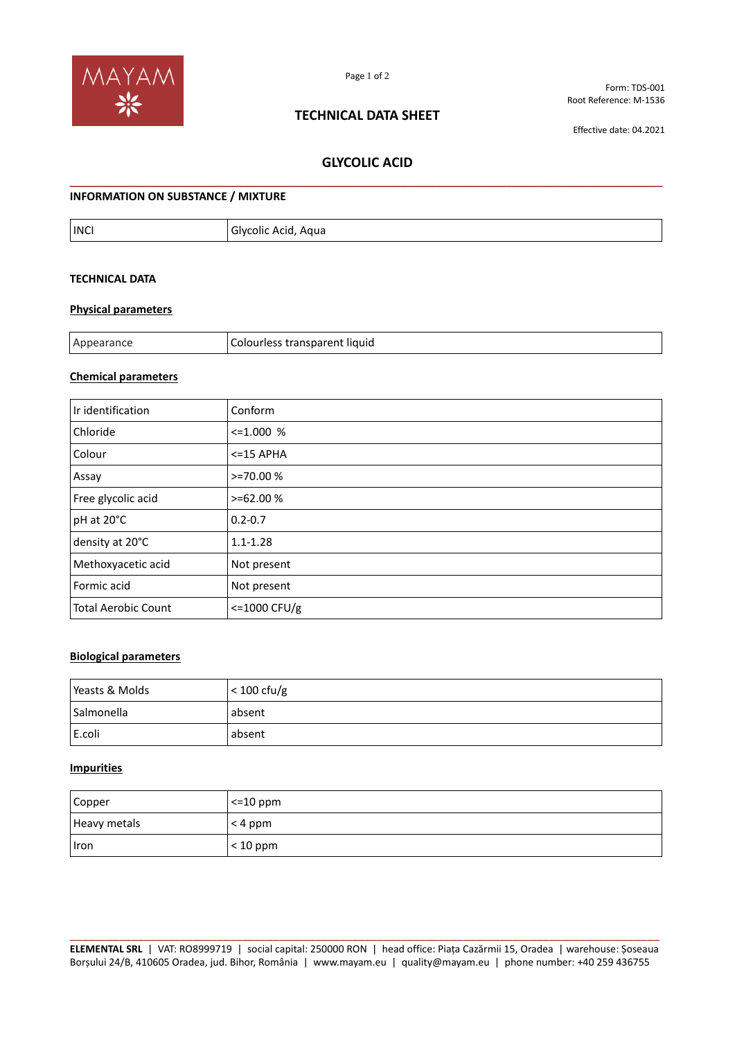

# **TECHNICAL DATA SHEET**

Form: TDS-001 Root Reference: M-1536

Effective date: 04.2021

# **GLYCOLIC ACID \_\_\_\_\_\_\_\_\_\_\_\_\_\_\_\_\_\_\_\_\_\_\_\_\_\_\_\_\_\_\_\_\_\_\_\_\_\_\_\_\_\_\_\_\_\_\_\_\_\_\_\_\_\_\_\_\_\_\_\_\_\_\_\_\_\_\_\_\_\_\_\_\_\_\_\_\_\_\_\_**

### **INFORMATION ON SUBSTANCE / MIXTURE**

| <b>INCI</b> | Agua<br>Glycolic .<br>Acid |
|-------------|----------------------------|
|-------------|----------------------------|

# **TECHNICAL DATA**

#### **Physical parameters**

| Ani<br>11.4111 H | transnaren<br>liquid<br>.<br>$   -$ |
|------------------|-------------------------------------|
|                  |                                     |

### **Chemical parameters**

| Ir identification          | Conform                |
|----------------------------|------------------------|
| Chloride                   | $\leq 1.000$ %         |
| Colour                     | $<$ =15 APHA           |
| Assay                      | $> = 70.00%$           |
| Free glycolic acid         | $> = 62.00%$           |
| pH at 20°C                 | $0.2 - 0.7$            |
| density at 20°C            | $1.1 - 1.28$           |
| Methoxyacetic acid         | Not present            |
| Formic acid                | Not present            |
| <b>Total Aerobic Count</b> | $\epsilon$ =1000 CFU/g |

# **Biological parameters**

| Yeasts & Molds | $<$ 100 cfu/g |
|----------------|---------------|
| Salmonella     | absent        |
| E.coli         | absent        |

#### **Impurities**

| Copper       | $\leq$ 10 ppm |
|--------------|---------------|
| Heavy metals | $<$ 4 ppm     |
| Iron         | $<$ 10 ppm    |